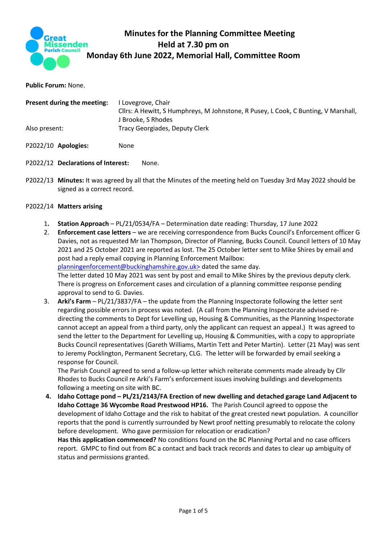

# **Minutes for the Planning Committee Meeting Held at 7.30 pm on Monday 6th June 2022, Memorial Hall, Committee Room**

**Public Forum:** None.

| Present during the meeting: | Lovegrove, Chair<br>Cllrs: A Hewitt, S Humphreys, M Johnstone, R Pusey, L Cook, C Bunting, V Marshall,<br>J Brooke, S Rhodes |
|-----------------------------|------------------------------------------------------------------------------------------------------------------------------|
| Also present:               | Tracy Georgiades, Deputy Clerk                                                                                               |
| P2022/10 Apologies:         | None                                                                                                                         |

# P2022/12 **Declarations of Interest:** None.

P2022/13 **Minutes:** It was agreed by all that the Minutes of the meeting held on Tuesday 3rd May 2022 should be signed as a correct record.

# P2022/14 **Matters arising**

- 1**. Station Approach**  PL/21/0534/FA Determination date reading: Thursday, 17 June 2022
- 2. **Enforcement case letters** we are receiving correspondence from Bucks Council's Enforcement officer G Davies, not as requested Mr Ian Thompson, Director of Planning, Bucks Council. Council letters of 10 May 2021 and 25 October 2021 are reported as lost. The 25 October letter sent to Mike Shires by email and post had a reply email copying in Planning Enforcement Mailbox: [planningenforcement@buckinghamshire.gov.uk>](mailto:planningenforcement@buckinghamshire.gov.uk%3e) dated the same day. The letter dated 10 May 2021 was sent by post and email to Mike Shires by the previous deputy clerk. There is progress on Enforcement cases and circulation of a planning committee response pending approval to send to G. Davies. 3. **Arki's Farm** – PL/21/3837/FA – the update from the Planning Inspectorate following the letter sent
- regarding possible errors in process was noted. (A call from the Planning Inspectorate advised redirecting the comments to Dept for Levelling up, Housing & Communities, as the Planning Inspectorate cannot accept an appeal from a third party, only the applicant can request an appeal.) It was agreed to send the letter to the Department for Levelling up, Housing & Communities, with a copy to appropriate Bucks Council representatives (Gareth Williams, Martin Tett and Peter Martin). Letter (21 May) was sent to Jeremy Pocklington, Permanent Secretary, CLG. The letter will be forwarded by email seeking a response for Council.

The Parish Council agreed to send a follow-up letter which reiterate comments made already by Cllr Rhodes to Bucks Council re Arki's Farm's enforcement issues involving buildings and developments following a meeting on site with BC.

**4. Idaho Cottage pond – PL/21/2143/FA Erection of new dwelling and detached garage Land Adjacent to Idaho Cottage 36 Wycombe Road Prestwood HP16.** The Parish Council agreed to oppose the development of Idaho Cottage and the risk to habitat of the great crested newt population. A councillor reports that the pond is currently surrounded by Newt proof netting presumably to relocate the colony before development. Who gave permission for relocation or eradication?

**Has this application commenced?** No conditions found on the BC Planning Portal and no case officers report. GMPC to find out from BC a contact and back track records and dates to clear up ambiguity of status and permissions granted.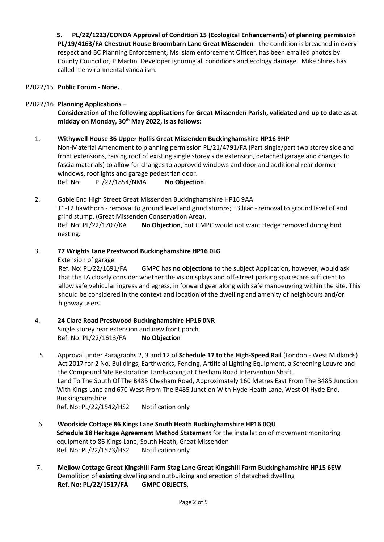**5. PL/22/1223/CONDA Approval of Condition 15 (Ecological Enhancements) of planning permission PL/19/4163/FA Chestnut House Broombarn Lane Great Missenden** - the condition is breached in every respect and BC Planning Enforcement, Ms Islam enforcement Officer, has been emailed photos by County Councillor, P Martin. Developer ignoring all conditions and ecology damage. Mike Shires has called it environmental vandalism.

P2022/15 **Public Forum - None.** 

## P2022/16 **Planning Applications** –

**Consideration of the following applications for Great Missenden Parish, validated and up to date as at midday on Monday, 30th May 2022, is as follows:**

#### 1. **Withywell House 36 Upper Hollis Great Missenden Buckinghamshire HP16 9HP**

Non-Material Amendment to planning permission PL/21/4791/FA (Part single/part two storey side and front extensions, raising roof of existing single storey side extension, detached garage and changes to fascia materials) to allow for changes to approved windows and door and additional rear dormer windows, rooflights and garage pedestrian door. Ref. No: PL/22/1854/NMA **No Objection**

2. Gable End High Street Great Missenden Buckinghamshire HP16 9AA T1-T2 hawthorn - removal to ground level and grind stumps; T3 lilac - removal to ground level of and grind stump. (Great Missenden Conservation Area). Ref. No: PL/22/1707/KA **No Objection**, but GMPC would not want Hedge removed during bird nesting.

#### 3. **77 Wrights Lane Prestwood Buckinghamshire HP16 0LG**

Extension of garage

Ref. No: PL/22/1691/FA GMPC has **no objections** to the subject Application, however, would ask that the LA closely consider whether the vision splays and off-street parking spaces are sufficient to allow safe vehicular ingress and egress, in forward gear along with safe manoeuvring within the site. This should be considered in the context and location of the dwelling and amenity of neighbours and/or highway users.

#### 4. **24 Clare Road Prestwood Buckinghamshire HP16 0NR** Single storey rear extension and new front porch Ref. No: PL/22/1613/FA **No Objection**

5. Approval under Paragraphs 2, 3 and 12 of **Schedule 17 to the High-Speed Rail** (London - West Midlands) Act 2017 for 2 No. Buildings, Earthworks, Fencing, Artificial Lighting Equipment, a Screening Louvre and the Compound Site Restoration Landscaping at Chesham Road Intervention Shaft. Land To The South Of The B485 Chesham Road, Approximately 160 Metres East From The B485 Junction With Kings Lane and 670 West From The B485 Junction With Hyde Heath Lane, West Of Hyde End, Buckinghamshire.

Ref. No: PL/22/1542/HS2 Notification only

- 6. **Woodside Cottage 86 Kings Lane South Heath Buckinghamshire HP16 0QU Schedule 18 Heritage Agreement Method Statement** for the installation of movement monitoring equipment to 86 Kings Lane, South Heath, Great Missenden Ref. No: PL/22/1573/HS2 Notification only
- 7. **Mellow Cottage Great Kingshill Farm Stag Lane Great Kingshill Farm Buckinghamshire HP15 6EW** Demolition of **existing** dwelling and outbuilding and erection of detached dwelling **Ref. No: PL/22/1517/FA GMPC OBJECTS.**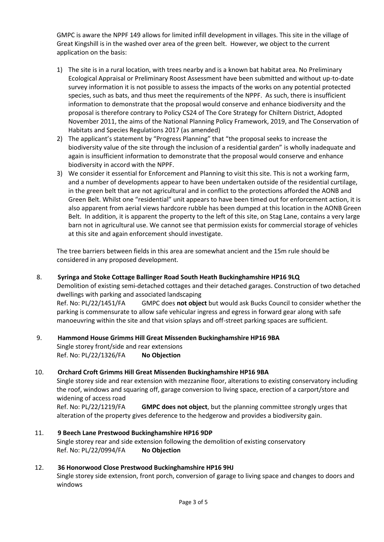GMPC is aware the NPPF 149 allows for limited infill development in villages. This site in the village of Great Kingshill is in the washed over area of the green belt. However, we object to the current application on the basis:

- 1) The site is in a rural location, with trees nearby and is a known bat habitat area. No Preliminary Ecological Appraisal or Preliminary Roost Assessment have been submitted and without up-to-date survey information it is not possible to assess the impacts of the works on any potential protected species, such as bats, and thus meet the requirements of the NPPF. As such, there is insufficient information to demonstrate that the proposal would conserve and enhance biodiversity and the proposal is therefore contrary to Policy CS24 of The Core Strategy for Chiltern District, Adopted November 2011, the aims of the National Planning Policy Framework, 2019, and The Conservation of Habitats and Species Regulations 2017 (as amended)
- 2) The applicant's statement by "Progress Planning" that "the proposal seeks to increase the biodiversity value of the site through the inclusion of a residential garden" is wholly inadequate and again is insufficient information to demonstrate that the proposal would conserve and enhance biodiversity in accord with the NPPF.
- 3) We consider it essential for Enforcement and Planning to visit this site. This is not a working farm, and a number of developments appear to have been undertaken outside of the residential curtilage, in the green belt that are not agricultural and in conflict to the protections afforded the AONB and Green Belt. Whilst one "residential" unit appears to have been timed out for enforcement action, it is also apparent from aerial views hardcore rubble has been dumped at this location in the AONB Green Belt. In addition, it is apparent the property to the left of this site, on Stag Lane, contains a very large barn not in agricultural use. We cannot see that permission exists for commercial storage of vehicles at this site and again enforcement should investigate.

The tree barriers between fields in this area are somewhat ancient and the 15m rule should be considered in any proposed development.

## 8. **Syringa and Stoke Cottage Ballinger Road South Heath Buckinghamshire HP16 9LQ**

Demolition of existing semi-detached cottages and their detached garages. Construction of two detached dwellings with parking and associated landscaping

Ref. No: PL/22/1451/FA GMPC does **not object** but would ask Bucks Council to consider whether the parking is commensurate to allow safe vehicular ingress and egress in forward gear along with safe manoeuvring within the site and that vision splays and off-street parking spaces are sufficient.

## 9. **Hammond House Grimms Hill Great Missenden Buckinghamshire HP16 9BA**

Single storey front/side and rear extensions Ref. No: PL/22/1326/FA **No Objection**

#### 10. **Orchard Croft Grimms Hill Great Missenden Buckinghamshire HP16 9BA**

Single storey side and rear extension with mezzanine floor, alterations to existing conservatory including the roof, windows and squaring off, garage conversion to living space, erection of a carport/store and widening of access road

Ref. No: PL/22/1219/FA **GMPC does not object**, but the planning committee strongly urges that alteration of the property gives deference to the hedgerow and provides a biodiversity gain.

11. **9 Beech Lane Prestwood Buckinghamshire HP16 9DP** Single storey rear and side extension following the demolition of existing conservatory Ref. No: PL/22/0994/FA **No Objection**

## 12. **36 Honorwood Close Prestwood Buckinghamshire HP16 9HJ**

Single storey side extension, front porch, conversion of garage to living space and changes to doors and windows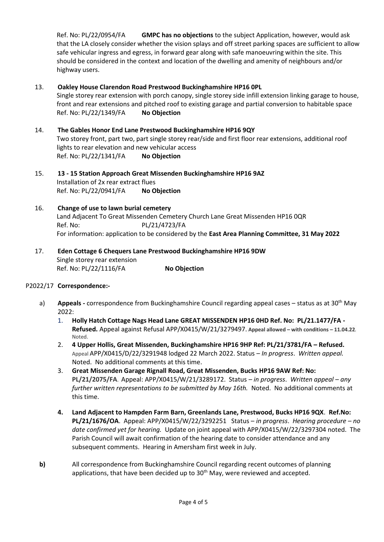Ref. No: PL/22/0954/FA **GMPC has no objections** to the subject Application, however, would ask that the LA closely consider whether the vision splays and off street parking spaces are sufficient to allow safe vehicular ingress and egress, in forward gear along with safe manoeuvring within the site. This should be considered in the context and location of the dwelling and amenity of neighbours and/or highway users.

# 13. **Oakley House Clarendon Road Prestwood Buckinghamshire HP16 0PL**

Single storey rear extension with porch canopy, single storey side infill extension linking garage to house, front and rear extensions and pitched roof to existing garage and partial conversion to habitable space Ref. No: PL/22/1349/FA **No Objection**

- 14. **The Gables Honor End Lane Prestwood Buckinghamshire HP16 9QY** Two storey front, part two, part single storey rear/side and first floor rear extensions, additional roof lights to rear elevation and new vehicular access Ref. No: PL/22/1341/FA **No Objection**
- 15. **13 - 15 Station Approach Great Missenden Buckinghamshire HP16 9AZ** Installation of 2x rear extract flues Ref. No: PL/22/0941/FA **No Objection**
- 16. **Change of use to lawn burial cemetery**  Land Adjacent To Great Missenden Cemetery Church Lane Great Missenden HP16 0QR Ref. No: PL/21/4723/FA For information: application to be considered by the **East Area Planning Committee, 31 May 2022**
- 17. **Eden Cottage 6 Chequers Lane Prestwood Buckinghamshire HP16 9DW** Single storey rear extension Ref. No: PL/22/1116/FA **No Objection**

## P2022/17 **Correspondence:-**

- a) **Appeals -** correspondence from Buckinghamshire Council regarding appeal cases status as at 30th May 2022:
	- 1. **Holly Hatch Cottage Nags Head Lane GREAT MISSENDEN HP16 0HD Ref. No: PL/21.1477/FA - Refused.** Appeal against Refusal APP/X0415/W/21/3279497. **Appeal allowed – with conditions – 11.04.22***.* Noted.
	- 2. **4 Upper Hollis, Great Missenden, Buckinghamshire HP16 9HP Ref: PL/21/3781/FA – Refused.** Appeal APP/X0415/D/22/3291948 lodged 22 March 2022. Status – *In progress*. *Written appeal.*  Noted. No additional comments at this time.
	- 3. **Great Missenden Garage Rignall Road, Great Missenden, Bucks HP16 9AW Ref: No: PL/21/2075/FA**. Appeal: APP/X0415/W/21/3289172. Status *– in progress*. *Written appeal – any further written representations to be submitted by May 16th.* Noted. No additional comments at this time.
	- **4. Land Adjacent to Hampden Farm Barn, Greenlands Lane, Prestwood, Bucks HP16 9QX**. **Ref.No: PL/21/1676/OA**. Appeal: APP/X0415/W/22/3292251 Status – *in progress*. *Hearing procedure – no date confirmed yet for hearing.* Update on joint appeal with APP/X0415/W/22/3297304 noted. The Parish Council will await confirmation of the hearing date to consider attendance and any subsequent comments. Hearing in Amersham first week in July.
- **b)** All correspondence from Buckinghamshire Council regarding recent outcomes of planning applications, that have been decided up to 30<sup>th</sup> May, were reviewed and accepted.